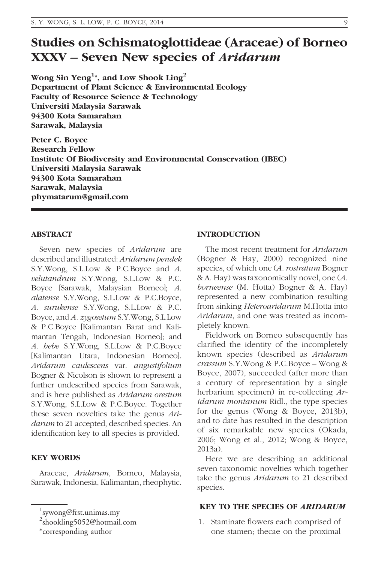# Studies on Schismatoglottideae (Araceae) of Borneo XXXV – Seven New species of Aridarum

Wong Sin Yeng $^{1*}$ , and Low Shook Ling $^{2}$ Department of Plant Science & Environmental Ecology Faculty of Resource Science & Technology Universiti Malaysia Sarawak 94300 Kota Samarahan Sarawak, Malaysia

Peter C. Boyce Research Fellow Institute Of Biodiversity and Environmental Conservation (IBEC) Universiti Malaysia Sarawak 94300 Kota Samarahan Sarawak, Malaysia phymatarum@gmail.com

## ABSTRACT

Seven new species of Aridarum are described and illustrated: Aridarum pendek S.Y.Wong, S.L.Low & P.C.Boyce and A. velutandrum S.Y.Wong, S.L.Low & P.C. Boyce [Sarawak, Malaysian Borneo]; A. alatense S.Y.Wong, S.L.Low & P.C.Boyce, A. surukense S.Y.Wong, S.L.Low & P.C. Boyce, and A. zygosetum S.Y.Wong, S.L.Low & P.C.Boyce [Kalimantan Barat and Kalimantan Tengah, Indonesian Borneo]; and A. hebe S.Y.Wong, S.L.Low & P.C.Boyce [Kalimantan Utara, Indonesian Borneo]. Aridarum caulescens var. angustifolium Bogner & Nicolson is shown to represent a further undescribed species from Sarawak, and is here published as Aridarum orestum S.Y.Wong, S.L.Low & P.C.Boyce. Together these seven novelties take the genus Aridarum to 21 accepted, described species. An identification key to all species is provided.

## KEY WORDS

Araceae, Aridarum, Borneo, Malaysia, Sarawak, Indonesia, Kalimantan, rheophytic.

#### INTRODUCTION

The most recent treatment for Aridarum (Bogner & Hay, 2000) recognized nine species, of which one (A. rostratum Bogner & A. Hay) was taxonomically novel, one (A. borneense (M. Hotta) Bogner & A. Hay) represented a new combination resulting from sinking Heteroaridarum M.Hotta into Aridarum, and one was treated as incompletely known.

Fieldwork on Borneo subsequently has clarified the identity of the incompletely known species (described as Aridarum crassum S.Y.Wong & P.C.Boyce – Wong & Boyce, 2007), succeeded (after more than a century of representation by a single herbarium specimen) in re-collecting Aridarum montanum Ridl., the type species for the genus (Wong & Boyce, 2013b), and to date has resulted in the description of six remarkable new species (Okada, 2006; Wong et al., 2012; Wong & Boyce, 2013a).

Here we are describing an additional seven taxonomic novelties which together take the genus *Aridarum* to 21 described species.

#### KEY TO THE SPECIES OF ARIDARUM

1. Staminate flowers each comprised of one stamen; thecae on the proximal

<sup>1</sup> sywong@frst.unimas.my

<sup>&</sup>lt;sup>2</sup>shookling5052@hotmail.com

<sup>\*</sup>corresponding author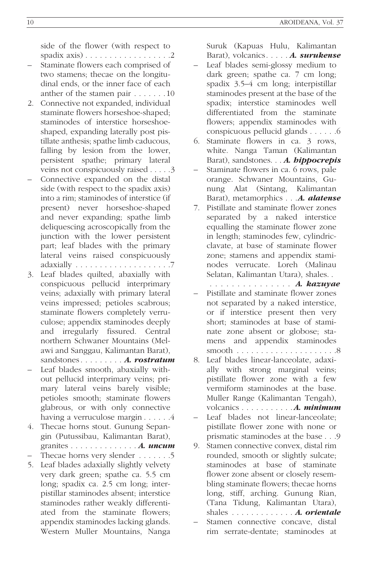side of the flower (with respect to spadix axis) . . . . . . . . . . . . . . . . . .2

- Staminate flowers each comprised of two stamens; thecae on the longitudinal ends, or the inner face of each anther of the stamen pair . . . . . . . 10
- 2. Connective not expanded, individual staminate flowers horseshoe-shaped; staminodes of interstice horseshoeshaped, expanding laterally post pistillate anthesis; spathe limb caducous, falling by lesion from the lower, persistent spathe; primary lateral veins not conspicuously raised . . . . .3
- Connective expanded on the distal side (with respect to the spadix axis) into a rim; staminodes of interstice (if present) never horseshoe-shaped and never expanding; spathe limb deliquescing acroscopically from the junction with the lower persistent part; leaf blades with the primary lateral veins raised conspicuously adaxially . . . . . . . . . . . . . . . . . . . .7
- 3. Leaf blades quilted, abaxially with conspicuous pellucid interprimary veins; adaxially with primary lateral veins impressed; petioles scabrous; staminate flowers completely verruculose; appendix staminodes deeply and irregularly fissured. Central northern Schwaner Mountains (Melawi and Sanggau, Kalimantan Barat), sandstones........ A. rostratum
- Leaf blades smooth, abaxially without pellucid interprimary veins; primary lateral veins barely visible; petioles smooth; staminate flowers glabrous, or with only connective having a verruculose margin . . . . . .4
- 4. Thecae horns stout. Gunung Sepangin (Putussibau, Kalimantan Barat), granites .............. A. uncum
- Thecae horns very slender . . . . . . . 5
- 5. Leaf blades adaxially slightly velvety very dark green; spathe ca. 5.5 cm long; spadix ca. 2.5 cm long; interpistillar staminodes absent; interstice staminodes rather weakly differentiated from the staminate flowers; appendix staminodes lacking glands. Western Muller Mountains, Nanga

Suruk (Kapuas Hulu, Kalimantan

- Barat), volcanics..... A. surukense – Leaf blades semi-glossy medium to dark green; spathe ca. 7 cm long; spadix 3.5–4 cm long; interpistillar staminodes present at the base of the spadix; interstice staminodes well differentiated from the staminate flowers; appendix staminodes with conspicuous pellucid glands . . . . . .6
- 6. Staminate flowers in ca. 3 rows, white. Nanga Taman (Kalimantan Barat), sandstones. . . A. hippocrepis
- Staminate flowers in ca. 6 rows, pale orange. Schwaner Mountains, Gunung Alat (Sintang, Kalimantan Barat), metamorphics . . . A. alatense
- 7. Pistillate and staminate flower zones separated by a naked interstice equalling the staminate flower zone in length; staminodes few, cylindricclavate, at base of staminate flower zone; stamens and appendix staminodes verrucate. Loreh (Malinau Selatan, Kalimantan Utara), shales. .

............... A. kazuyae

- Pistillate and staminate flower zones not separated by a naked interstice, or if interstice present then very short; staminodes at base of staminate zone absent or globose; stamens and appendix staminodes smooth . . . . . . . . . . . . . . . . . . . . .8
- 8. Leaf blades linear-lanceolate, adaxially with strong marginal veins; pistillate flower zone with a few vermiform staminodes at the base. Muller Range (Kalimantan Tengah), volcanics . . . . . . . . . . . **A. minimum**
- Leaf blades not linear-lanceolate: pistillate flower zone with none or prismatic staminodes at the base . . .9
- 9. Stamen connective convex, distal rim rounded, smooth or slightly sulcate; staminodes at base of staminate flower zone absent or closely resembling staminate flowers; thecae horns long, stiff, arching. Gunung Rian, (Tana Tidung, Kalimantan Utara), shales . . . . . . . . . . . . . A. orientale
- Stamen connective concave, distal rim serrate-dentate; staminodes at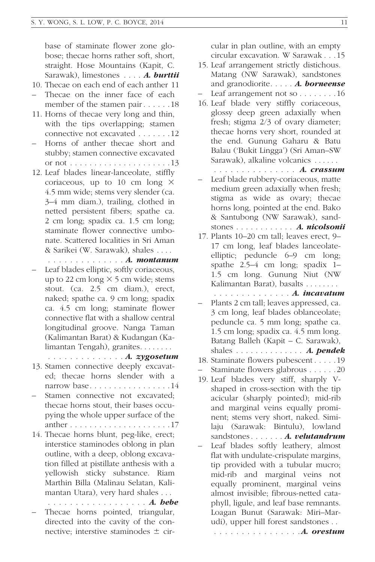base of staminate flower zone globose; thecae horns rather soft, short, straight. Hose Mountains (Kapit, C. Sarawak), limestones . . . . **A. burttii** 

- 10. Thecae on each end of each anther 11
- Thecae on the inner face of each member of the stamen pair . . . . . . 18
- 11. Horns of thecae very long and thin, with the tips overlapping; stamen connective not excavated . . . . . . . 12
- Horns of anther thecae short and stubby; stamen connective excavated or not . . . . . . . . . . . . . . . . . . . . . 13
- 12. Leaf blades linear-lanceolate, stiffly coriaceous, up to 10 cm long  $\times$ 4.5 mm wide; stems very slender (ca. 3–4 mm diam.), trailing, clothed in netted persistent fibers; spathe ca. 2 cm long; spadix ca. 1.5 cm long; staminate flower connective umbonate. Scattered localities in Sri Aman & Sarikei (W. Sarawak), shales . . . .
- .............. A. montanum – Leaf blades elliptic, softly coriaceous,
- up to 22 cm long  $\times$  5 cm wide; stems stout. (ca. 2.5 cm diam.), erect, naked; spathe ca. 9 cm long; spadix ca. 4.5 cm long; staminate flower connective flat with a shallow central longitudinal groove. Nanga Taman (Kalimantan Barat) & Kudangan (Kalimantan Tengah), granites. . . . . . . .

.............. A. zygosetum

- 13. Stamen connective deeply excavated; thecae horns slender with a narrow base. . . . . . . . . . . . . . . . . 14
- Stamen connective not excavated: thecae horns stout, their bases occupying the whole upper surface of the anther . . . . . . . . . . . . . . . . . . . . . 17
- 14. Thecae horns blunt, peg-like, erect; interstice staminodes oblong in plan outline, with a deep, oblong excavation filled at pistillate anthesis with a yellowish sticky substance. Riam Marthin Billa (Malinau Selatan, Kalimantan Utara), very hard shales . . .
- . . . . . . . . . . . . . . . . . . *A. hebe* Thecae horns pointed, triangular, directed into the cavity of the connective; interstive staminodes  $\pm$  cir-

cular in plan outline, with an empty circular excavation. W Sarawak . . . 15

- 15. Leaf arrangement strictly distichous. Matang (NW Sarawak), sandstones and granodiorite..... A. borneense Leaf arrangement not so  $\dots \dots \dots 16$
- 16. Leaf blade very stiffly coriaceous, glossy deep green adaxially when fresh; stigma 2/3 of ovary diameter; thecae horns very short, rounded at the end. Gunung Gaharu & Batu Balau ('Bukit Lingga') (Sri Aman–SW Sarawak), alkaline volcanics . . . . . .
	- .............. A. crassum
- Leaf blade rubbery-coriaceous, matte medium green adaxially when fresh; stigma as wide as ovary; thecae horns long, pointed at the end. Bako & Santubong (NW Sarawak), sandstones . . . . . . . . . . . . A. nicolsonii
- 17. Plants 10–20 cm tall; leaves erect, 9– 17 cm long, leaf blades lanceolateelliptic; peduncle 6–9 cm long; spathe 2.5–4 cm long; spadix 1– 1.5 cm long. Gunung Niut (NW Kalimantan Barat), basalts . . . . . . . .

.............. A. incavatum

- Plants 2 cm tall; leaves appressed, ca. 3 cm long, leaf blades oblanceolate; peduncle ca. 5 mm long; spathe ca. 1.5 cm long; spadix ca. 4.5 mm long. Batang Balleh (Kapit – C. Sarawak), shales  $\dots \dots \dots \dots$ . A. pendek
- 18. Staminate flowers pubescent . . . . . 19
- Staminate flowers glabrous . . . . . . 20
- 19. Leaf blades very stiff, sharply Vshaped in cross-section with the tip acicular (sharply pointed); mid-rib and marginal veins equally prominent; stems very short, naked. Similaju (Sarawak: Bintulu), lowland sandstones......**A.** *velutandrum*
- Leaf blades softly leathery, almost flat with undulate-crispulate margins, tip provided with a tubular mucro; mid-rib and marginal veins not equally prominent, marginal veins almost invisible; fibrous-netted cataphyll, ligule, and leaf base remnants. Loagan Bunut (Sarawak: Miri–Marudi), upper hill forest sandstones . .

. . . . . . . . . . . . **A.** orestum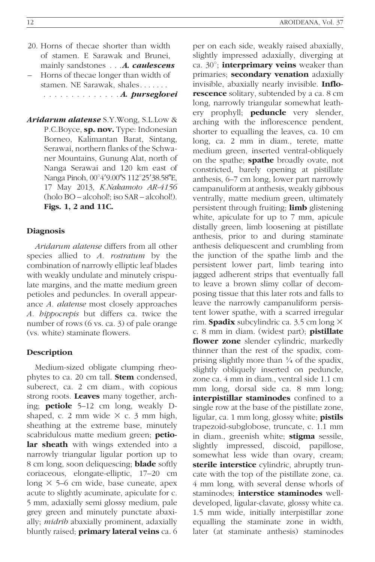- 20. Horns of thecae shorter than width of stamen. E Sarawak and Brunei, mainly sandstones . . . **A. caulescens**
- Horns of thecae longer than width of stamen. NE Sarawak, shales. . . . . . . .............. A. purseglovei
- Aridarum alatense S.Y.Wong, S.L.Low & P.C.Boyce, sp. nov. Type: Indonesian Borneo, Kalimantan Barat, Sintang, Serawai, northern flanks of the Schwaner Mountains, Gunung Alat, north of Nanga Serawai and 120 km east of Nanga Pinoh, 00°4'9.00"S 112°25'38.58"E, 17 May 2013, K.Nakamoto AR-4156 (holo BO – alcohol!; iso SAR – alcohol!). Figs. 1, 2 and 11C.

## Diagnosis

Aridarum alatense differs from all other species allied to A. rostratum by the combination of narrowly elliptic leaf blades with weakly undulate and minutely crispulate margins, and the matte medium green petioles and peduncles. In overall appearance A. alatense most closely approaches A. hippocrepis but differs ca. twice the number of rows (6 vs. ca. 3) of pale orange (vs. white) staminate flowers.

#### Description

Medium-sized obligate clumping rheophytes to ca. 20 cm tall. **Stem** condensed, suberect, ca. 2 cm diam., with copious strong roots. Leaves many together, arching; petiole 5–12 cm long, weakly Dshaped, c. 2 mm wide  $\times$  c. 3 mm high, sheathing at the extreme base, minutely scabridulous matte medium green; petiolar sheath with wings extended into a narrowly triangular ligular portion up to 8 cm long, soon deliquescing; blade softly coriaceous, elongate-elliptic, 17–20 cm long  $\times$  5–6 cm wide, base cuneate, apex acute to slightly acuminate, apiculate for c. 5 mm, adaxially semi glossy medium, pale grey green and minutely punctate abaxially; midrib abaxially prominent, adaxially bluntly raised; **primary lateral veins** ca. 6 per on each side, weakly raised abaxially, slightly impressed adaxially, diverging at ca.  $30^\circ$ ; **interprimary veins** weaker than primaries; secondary venation adaxially invisible, abaxially nearly invisible. Inflorescence solitary, subtended by a ca. 8 cm long, narrowly triangular somewhat leathery prophyll; **peduncle** very slender, arching with the inflorescence pendent, shorter to equalling the leaves, ca. 10 cm long, ca. 2 mm in diam., terete, matte medium green, inserted ventral-obliquely on the spathe; **spathe** broadly ovate, not constricted, barely opening at pistillate anthesis, 6–7 cm long, lower part narrowly campanuliform at anthesis, weakly gibbous ventrally, matte medium green, ultimately persistent through fruiting; **limb** glistening white, apiculate for up to 7 mm, apicule distally green, limb loosening at pistillate anthesis, prior to and during staminate anthesis deliquescent and crumbling from the junction of the spathe limb and the persistent lower part, limb tearing into jagged adherent strips that eventually fall to leave a brown slimy collar of decomposing tissue that this later rots and falls to leave the narrowly campanuliform persistent lower spathe, with a scarred irregular rim. **Spadix** subcylindric ca. 3.5 cm long  $\times$ c. 8 mm in diam. (widest part); **pistillate** flower zone slender cylindric, markedly thinner than the rest of the spadix, comprising slightly more than  $\frac{1}{4}$  of the spadix, slightly obliquely inserted on peduncle, zone ca. 4 mm in diam., ventral side 1.1 cm mm long, dorsal side ca. 8 mm long; interpistillar staminodes confined to a single row at the base of the pistillate zone, ligular, ca. 1 mm long, glossy white; **pistils** trapezoid-subglobose, truncate, c. 1.1 mm in diam., greenish white; **stigma** sessile, slightly impressed, discoid, papillose, somewhat less wide than ovary, cream; sterile interstice cylindric, abruptly truncate with the top of the pistillate zone, ca. 4 mm long, with several dense whorls of staminodes: **interstice staminodes** welldeveloped, ligular-clavate, glossy white ca. 1.5 mm wide, initially interpistillar zone equalling the staminate zone in width, later (at staminate anthesis) staminodes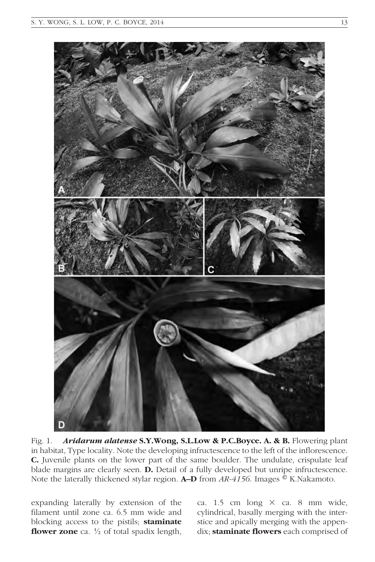

Fig. 1. Aridarum alatense S.Y.Wong, S.L.Low & P.C.Boyce. A. & B. Flowering plant in habitat, Type locality. Note the developing infructescence to the left of the inflorescence. C. Juvenile plants on the lower part of the same boulder. The undulate, crispulate leaf blade margins are clearly seen. D. Detail of a fully developed but unripe infructescence. Note the laterally thickened stylar region. **A–D** from  $AR-4156$ . Images  $\mathcal{O}$  K.Nakamoto.

expanding laterally by extension of the filament until zone ca. 6.5 mm wide and blocking access to the pistils; staminate **flower zone** ca.  $\frac{1}{2}$  of total spadix length,

ca. 1.5 cm long  $\times$  ca. 8 mm wide, cylindrical, basally merging with the interstice and apically merging with the appendix; staminate flowers each comprised of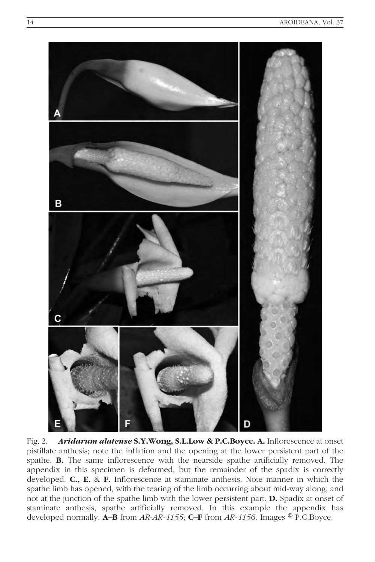

Fig. 2. Aridarum alatense S.Y. Wong, S.L.Low & P.C.Boyce. A. Inflorescence at onset pistillate anthesis; note the inflation and the opening at the lower persistent part of the spathe. B. The same inflorescence with the nearside spathe artificially removed. The appendix in this specimen is deformed, but the remainder of the spadix is correctly developed. C., E. & F. Inflorescence at staminate anthesis. Note manner in which the spathe limb has opened, with the tearing of the limb occurring about mid-way along, and not at the junction of the spathe limb with the lower persistent part. D. Spadix at onset of staminate anthesis, spathe artificially removed. In this example the appendix has developed normally. **A–B** from  $AR-4155$ ; **C–F** from  $AR-4156$ . Images  $\circledcirc$  P.C.Boyce.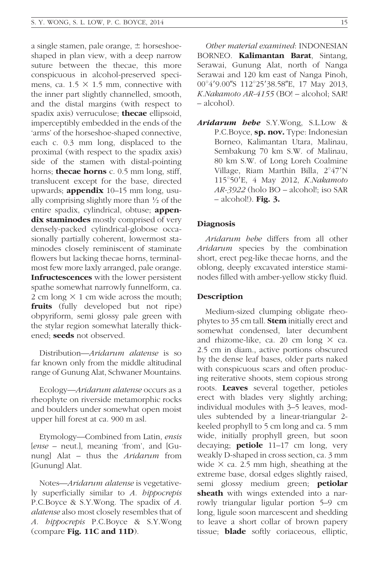a single stamen, pale orange,  $\pm$  horseshoeshaped in plan view, with a deep narrow suture between the thecae, this more conspicuous in alcohol-preserved specimens, ca.  $1.5 \times 1.5$  mm, connective with the inner part slightly channelled, smooth, and the distal margins (with respect to spadix axis) verruculose; **thecae** ellipsoid, imperceptibly embedded in the ends of the 'arms' of the horseshoe-shaped connective, each c. 0.3 mm long, displaced to the proximal (with respect to the spadix axis) side of the stamen with distal-pointing horns; **thecae horns** c. 0.5 mm long, stiff, translucent except for the base, directed upwards; **appendix**  $10-15$  mm long, usually comprising slightly more than  $\frac{1}{2}$  of the entire spadix, cylindrical, obtuse; appendix staminodes mostly comprised of very densely-packed cylindrical-globose occasionally partially coherent, lowermost staminodes closely reminiscent of staminate flowers but lacking thecae horns, terminalmost few more laxly arranged, pale orange. Infructescences with the lower persistent spathe somewhat narrowly funnelform, ca. 2 cm long  $\times$  1 cm wide across the mouth; fruits (fully developed but not ripe) obpyriform, semi glossy pale green with the stylar region somewhat laterally thickened: **seeds** not observed.

Distribution—Aridarum alatense is so far known only from the middle altitudinal range of Gunung Alat, Schwaner Mountains.

Ecology—Aridarum alatense occurs as a rheophyte on riverside metamorphic rocks and boulders under somewhat open moist upper hill forest at ca. 900 m asl.

Etymology—Combined from Latin, ensis [ense – neut.], meaning 'from', and [Gunung] Alat – thus the Aridarum from [Gunung] Alat.

Notes—Aridarum alatense is vegetatively superficially similar to A. hippocrepis P.C.Boyce & S.Y.Wong. The spadix of A. alatense also most closely resembles that of A. hippocrepis P.C.Boyce & S.Y.Wong (compare Fig. 11C and 11D).

Serawai and 120 km east of Nanga Pinoh, 00°4'9.00"S 112°25'38.58"E, 17 May 2013, K.Nakamoto AR-4155 (BO! – alcohol; SAR! – alcohol).

Aridarum hebe S.Y.Wong, S.L.Low & P.C.Boyce, sp. nov. Type: Indonesian Borneo, Kalimantan Utara, Malinau, Sembakung 70 km S.W. of Malinau, 80 km S.W. of Long Loreh Coalmine Village, Riam Marthin Billa,  $2^{\circ}47'N$ 115°50'E, 4 May 2012, K.Nakamoto AR-3922 (holo BO – alcohol!; iso SAR  $-$  alcohol!). Fig. 3.

## **Diagnosis**

Aridarum hebe differs from all other Aridarum species by the combination short, erect peg-like thecae horns, and the oblong, deeply excavated interstice staminodes filled with amber-yellow sticky fluid.

## Description

Medium-sized clumping obligate rheophytes to 35 cm tall. **Stem** initially erect and somewhat condensed, later decumbent and rhizome-like, ca. 20 cm long  $\times$  ca. 2.5 cm in diam., active portions obscured by the dense leaf bases, older parts naked with conspicuous scars and often producing reiterative shoots, stem copious strong roots. Leaves several together, petioles erect with blades very slightly arching; individual modules with 3–5 leaves, modules subtended by a linear-triangular 2 keeled prophyll to 5 cm long and ca. 5 mm wide, initially prophyll green, but soon decaying; **petiole** 11-17 cm long, very weakly D-shaped in cross section, ca. 3 mm wide  $\times$  ca. 2.5 mm high, sheathing at the extreme base, dorsal edges slightly raised, semi glossy medium green; petiolar sheath with wings extended into a narrowly triangular ligular portion 5–9 cm long, ligule soon marcescent and shedding to leave a short collar of brown papery tissue; blade softly coriaceous, elliptic,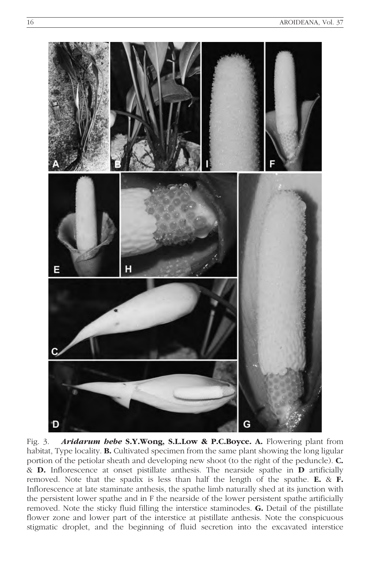

Fig. 3. **Aridarum hebe S.Y.Wong, S.L.Low & P.C.Boyce. A.** Flowering plant from habitat, Type locality. **B.** Cultivated specimen from the same plant showing the long ligular portion of the petiolar sheath and developing new shoot (to the right of the peduncle). C. & D. Inflorescence at onset pistillate anthesis. The nearside spathe in D artificially removed. Note that the spadix is less than half the length of the spathe. E. & F. Inflorescence at late staminate anthesis, the spathe limb naturally shed at its junction with the persistent lower spathe and in F the nearside of the lower persistent spathe artificially removed. Note the sticky fluid filling the interstice staminodes. G. Detail of the pistillate flower zone and lower part of the interstice at pistillate anthesis. Note the conspicuous stigmatic droplet, and the beginning of fluid secretion into the excavated interstice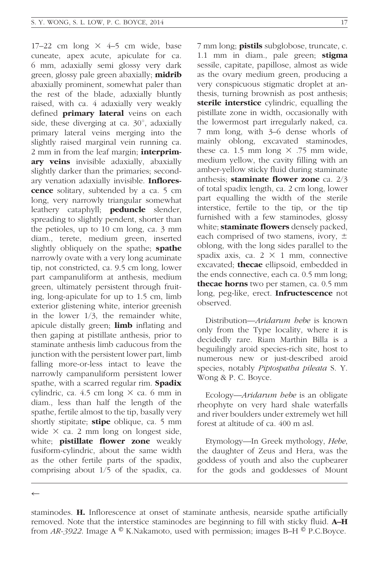17–22 cm long  $\times$  4–5 cm wide, base cuneate, apex acute, apiculate for ca. 6 mm, adaxially semi glossy very dark green, glossy pale green abaxially; **midrib** abaxially prominent, somewhat paler than the rest of the blade, adaxially bluntly raised, with ca. 4 adaxially very weakly defined **primary lateral** veins on each side, these diverging at ca.  $30^\circ$ , adaxially primary lateral veins merging into the slightly raised marginal vein running ca. 2 mm in from the leaf margin; **interprim**ary veins invisible adaxially, abaxially slightly darker than the primaries; secondary venation adaxially invisible. Inflores**cence** solitary, subtended by a ca. 5 cm long, very narrowly triangular somewhat leathery cataphyll; **peduncle** slender, spreading to slightly pendent, shorter than the petioles, up to 10 cm long, ca. 3 mm diam., terete, medium green, inserted slightly obliquely on the spathe; spathe narrowly ovate with a very long acuminate tip, not constricted, ca. 9.5 cm long, lower part campanuliform at anthesis, medium green, ultimately persistent through fruiting, long-apiculate for up to 1.5 cm, limb exterior glistening white, interior greenish in the lower 1/3, the remainder white, apicule distally green; **limb** inflating and then gaping at pistillate anthesis, prior to staminate anthesis limb caducous from the junction with the persistent lower part, limb falling more-or-less intact to leave the narrowly campanuliform persistent lower spathe, with a scarred regular rim. Spadix cylindric, ca. 4.5 cm long  $\times$  ca. 6 mm in diam., less than half the length of the spathe, fertile almost to the tip, basally very shortly stipitate; **stipe** oblique, ca. 5 mm wide  $\times$  ca. 2 mm long on longest side, white; **pistillate flower zone** weakly fusiform-cylindric, about the same width as the other fertile parts of the spadix, comprising about 1/5 of the spadix, ca.

7 mm long; **pistils** subglobose, truncate, c. 1.1 mm in diam., pale green; stigma sessile, capitate, papillose, almost as wide as the ovary medium green, producing a very conspicuous stigmatic droplet at anthesis, turning brownish as post anthesis; sterile interstice cylindric, equalling the pistillate zone in width, occasionally with the lowermost part irregularly naked, ca. 7 mm long, with 3–6 dense whorls of mainly oblong, excavated staminodes, these ca. 1.5 mm long  $\times$  .75 mm wide, medium yellow, the cavity filling with an amber-yellow sticky fluid during staminate anthesis; staminate flower zone ca. 2/3 of total spadix length, ca. 2 cm long, lower part equalling the width of the sterile interstice, fertile to the tip, or the tip furnished with a few staminodes, glossy white; **staminate flowers** densely packed, each comprised of two stamens, ivory,  $\pm$ oblong, with the long sides parallel to the spadix axis, ca.  $2 \times 1$  mm, connective excavated; thecae ellipsoid, embedded in the ends connective, each ca. 0.5 mm long; thecae horns two per stamen, ca. 0.5 mm long, peg-like, erect. **Infructescence** not observed.

Distribution—Aridarum hebe is known only from the Type locality, where it is decidedly rare. Riam Marthin Billa is a beguilingly aroid species-rich site, host to numerous new or just-described aroid species, notably Piptospatha pileata S.Y. Wong & P. C. Boyce.

Ecology—Aridarum hebe is an obligate rheophyte on very hard shale waterfalls and river boulders under extremely wet hill forest at altitude of ca. 400 m asl.

Etymology—In Greek mythology, Hebe, the daughter of Zeus and Hera, was the goddess of youth and also the cupbearer for the gods and goddesses of Mount

 $\overline{\phantom{0}}$ 

staminodes. H. Inflorescence at onset of staminate anthesis, nearside spathe artificially removed. Note that the interstice staminodes are beginning to fill with sticky fluid. **A–H** from AR-3922. Image A  $\mathcal{O}$  K.Nakamoto, used with permission; images B–H  $\mathcal{O}$  P.C.Boyce.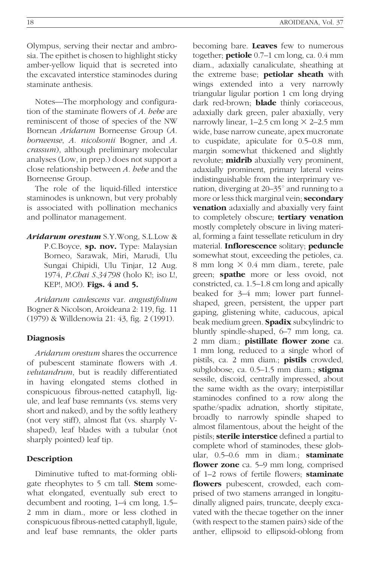Olympus, serving their nectar and ambrosia. The epithet is chosen to highlight sticky amber-yellow liquid that is secreted into the excavated interstice staminodes during staminate anthesis.

Notes—The morphology and configuration of the staminate flowers of A. hebe are reminiscent of those of species of the NW Bornean Aridarum Borneense Group (A. borneense, A. nicolsonii Bogner, and A. crassum), although preliminary molecular analyses (Low, in prep.) does not support a close relationship between A. hebe and the Borneense Group.

The role of the liquid-filled interstice staminodes is unknown, but very probably is associated with pollination mechanics and pollinator management.

Aridarum orestum S.Y.Wong, S.L.Low & P.C.Boyce, sp. nov. Type: Malaysian Borneo, Sarawak, Miri, Marudi, Ulu Sungai Chipidi, Ulu Tinjar, 12 Aug. 1974, P.Chai S.34798 (holo K!; iso L!, KEP!, MO!). **Figs. 4 and 5.** 

Aridarum caulescens var. angustifolium Bogner & Nicolson, Aroideana 2: 119, fig. 11 (1979) & Willdenowia 21: 43, fig. 2 (1991).

#### Diagnosis

Aridarum orestum shares the occurrence of pubescent staminate flowers with A. velutandrum, but is readily differentiated in having elongated stems clothed in conspicuous fibrous-netted cataphyll, ligule, and leaf base remnants (vs. stems very short and naked), and by the softly leathery (not very stiff), almost flat (vs. sharply Vshaped), leaf blades with a tubular (not sharply pointed) leaf tip.

## **Description**

Diminutive tufted to mat-forming obligate rheophytes to 5 cm tall. **Stem** somewhat elongated, eventually sub erect to decumbent and rooting, 1–4 cm long, 1.5– 2 mm in diam., more or less clothed in conspicuous fibrous-netted cataphyll, ligule, and leaf base remnants, the older parts becoming bare. Leaves few to numerous together; **petiole**  $0.7-1$  cm long, ca.  $0.4$  mm diam., adaxially canaliculate, sheathing at the extreme base; **petiolar sheath** with wings extended into a very narrowly triangular ligular portion 1 cm long drying dark red-brown; **blade** thinly coriaceous, adaxially dark green, paler abaxially, very narrowly linear,  $1-2.5$  cm long  $\times$  2-2.5 mm wide, base narrow cuneate, apex mucronate to cuspidate, apiculate for 0.5–0.8 mm, margin somewhat thickened and slightly revolute; **midrib** abaxially very prominent, adaxially prominent, primary lateral veins indistinguishable from the interprimary venation, diverging at  $20-35^\circ$  and running to a more or less thick marginal vein; **secondary venation** adaxially and abaxially very faint to completely obscure; tertiary venation mostly completely obscure in living material, forming a faint tessellate reticulum in dry material. Inflorescence solitary; peduncle somewhat stout, exceeding the petioles, ca. 8 mm long  $\times$  0.4 mm diam., terete, pale green; **spathe** more or less ovoid, not constricted, ca. 1.5–1.8 cm long and apically beaked for 3–4 mm; lower part funnelshaped, green, persistent, the upper part gaping, glistening white, caducous, apical beak medium green. Spadix subcylindric to bluntly spindle-shaped, 6–7 mm long, ca. 2 mm diam.; pistillate flower zone ca. 1 mm long, reduced to a single whorl of pistils, ca. 2 mm diam.; **pistils** crowded, subglobose, ca.  $0.5-1.5$  mm diam.; stigma sessile, discoid, centrally impressed, about the same width as the ovary; interpistillar staminodes confined to a row along the spathe/spadix adnation, shortly stipitate, broadly to narrowly spindle shaped to almost filamentous, about the height of the pistils; **sterile interstice** defined a partial to complete whorl of staminodes, these globular, 0.5–0.6 mm in diam.; staminate flower zone ca. 5–9 mm long, comprised of 1–2 rows of fertile flowers; staminate flowers pubescent, crowded, each comprised of two stamens arranged in longitudinally aligned pairs, truncate, deeply excavated with the thecae together on the inner (with respect to the stamen pairs) side of the anther, ellipsoid to ellipsoid-oblong from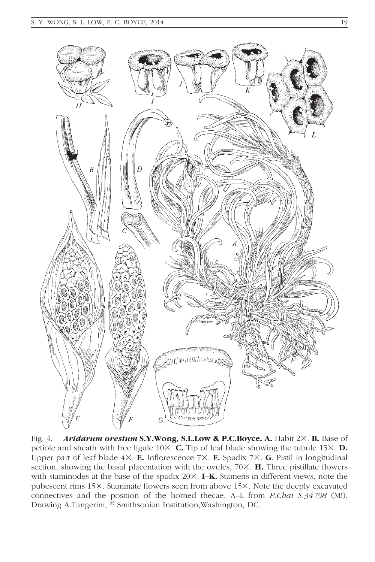

Fig. 4. Aridarum orestum S.Y.Wong, S.L.Low & P.C.Boyce. A. Habit 2×. B. Base of petiole and sheath with free ligule  $10\times$ . **C.** Tip of leaf blade showing the tubule  $15\times$ . **D.** Upper part of leaf blade  $4\times$ . **E.** Inflorescence  $7\times$ . **F.** Spadix  $7\times$ . **G**. Pistil in longitudinal section, showing the basal placentation with the ovules,  $70\times$ . **H.** Three pistillate flowers with staminodes at the base of the spadix  $20\times$ . I–K. Stamens in different views, note the pubescent rims 15×. Staminate flowers seen from above 15×. Note the deeply excavated connectives and the position of the horned thecae. A–L from P.Chai S.34798 (M!). Drawing A.Tangerini, © Smithsonian Institution, Washington, DC.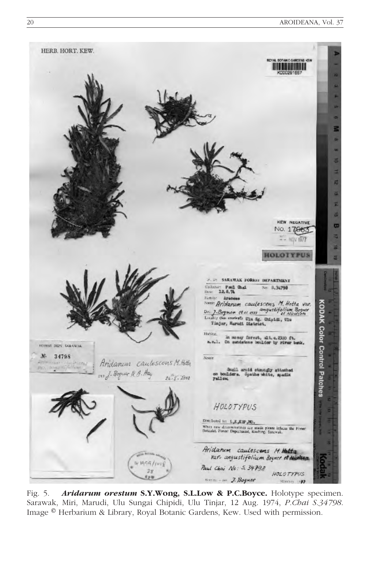

Fig. 5. Aridarum orestum S.Y.Wong, S.L.Low & P.C.Boyce. Holotype specimen. Sarawak, Miri, Marudi, Ulu Sungai Chipidi, Ulu Tinjar, 12 Aug. 1974, P.Chai S.34798. Image <sup>®</sup> Herbarium & Library, Royal Botanic Gardens, Kew. Used with permission.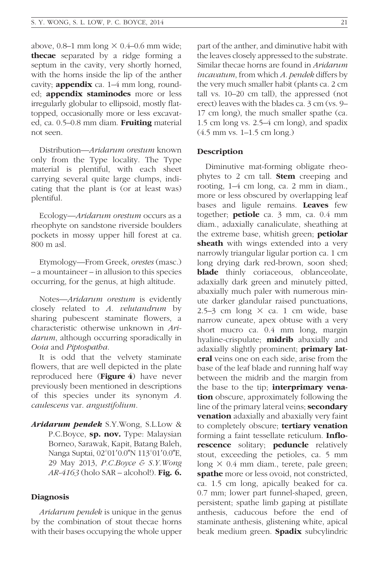above, 0.8–1 mm long  $\times$  0.4–0.6 mm wide; thecae separated by a ridge forming a septum in the cavity, very shortly horned, with the horns inside the lip of the anther cavity; **appendix** ca.  $1-4$  mm long, rounded; appendix staminodes more or less irregularly globular to ellipsoid, mostly flattopped, occasionally more or less excavated, ca. 0.5–0.8 mm diam. Fruiting material not seen.

Distribution—Aridarum orestum known only from the Type locality. The Type material is plentiful, with each sheet carrying several quite large clumps, indicating that the plant is (or at least was) plentiful.

Ecology—Aridarum orestum occurs as a rheophyte on sandstone riverside boulders pockets in mossy upper hill forest at ca. 800 m asl.

Etymology—From Greek, orestes (masc.) – a mountaineer – in allusion to this species occurring, for the genus, at high altitude.

Notes—Aridarum orestum is evidently closely related to A. velutandrum by sharing pubescent staminate flowers, a characteristic otherwise unknown in Aridarum, although occurring sporadically in Ooia and Piptospatha.

It is odd that the velvety staminate flowers, that are well depicted in the plate reproduced here (Figure 4) have never previously been mentioned in descriptions of this species under its synonym A. caulescens var. angustifolium.

Aridarum pendek S.Y.Wong, S.L.Low & P.C.Boyce, sp. nov. Type: Malaysian Borneo, Sarawak, Kapit, Batang Baleh, Nanga Suptai, 02°01′0.0"N 113°01′0.0"E, 29 May 2013, P.C.Boyce & S.Y.Wong  $AR-4163$  (holo SAR – alcohol!). Fig. 6.

## **Diagnosis**

Aridarum pendek is unique in the genus by the combination of stout thecae horns with their bases occupying the whole upper part of the anther, and diminutive habit with the leaves closely appressed to the substrate. Similar thecae horns are found in Aridarum incavatum, from which A. pendek differs by the very much smaller habit (plants ca. 2 cm tall vs. 10–20 cm tall), the appressed (not erect) leaves with the blades ca. 3 cm (vs. 9– 17 cm long), the much smaller spathe (ca. 1.5 cm long vs. 2.5–4 cm long), and spadix (4.5 mm vs. 1–1.5 cm long.)

## Description

Diminutive mat-forming obligate rheophytes to 2 cm tall. Stem creeping and rooting, 1–4 cm long, ca. 2 mm in diam., more or less obscured by overlapping leaf bases and ligule remains. Leaves few together; petiole ca. 3 mm, ca. 0.4 mm diam., adaxially canaliculate, sheathing at the extreme base, whitish green; petiolar sheath with wings extended into a very narrowly triangular ligular portion ca. 1 cm long drying dark red-brown, soon shed; **blade** thinly coriaceous, oblanceolate, adaxially dark green and minutely pitted, abaxially much paler with numerous minute darker glandular raised punctuations, 2.5–3 cm long  $\times$  ca. 1 cm wide, base narrow cuneate, apex obtuse with a very short mucro ca. 0.4 mm long, margin hyaline-crispulate; **midrib** abaxially and adaxially slightly prominent; **primary lat**eral veins one on each side, arise from the base of the leaf blade and running half way between the midrib and the margin from the base to the tip; **interprimary vena**tion obscure, approximately following the line of the primary lateral veins; **secondary venation** adaxially and abaxially very faint to completely obscure; **tertiary venation** forming a faint tessellate reticulum. Inflorescence solitary; peduncle relatively stout, exceeding the petioles, ca. 5 mm long  $\times$  0.4 mm diam., terete, pale green; spathe more or less ovoid, not constricted, ca. 1.5 cm long, apically beaked for ca. 0.7 mm; lower part funnel-shaped, green, persistent; spathe limb gaping at pistillate anthesis, caducous before the end of staminate anthesis, glistening white, apical beak medium green. **Spadix** subcylindric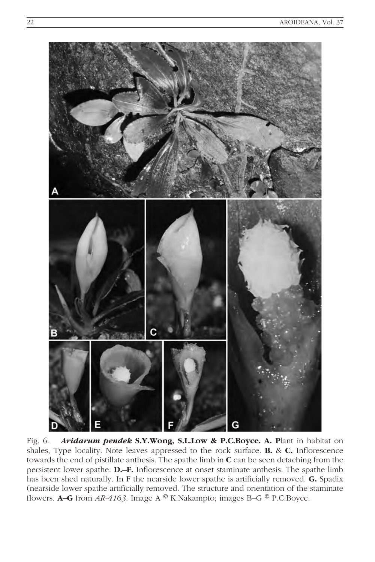

Fig. 6. Aridarum pendek S.Y.Wong, S.L.Low & P.C.Boyce. A. Plant in habitat on shales, Type locality. Note leaves appressed to the rock surface. B. & C. Inflorescence towards the end of pistillate anthesis. The spathe limb in C can be seen detaching from the persistent lower spathe. D.–F. Inflorescence at onset staminate anthesis. The spathe limb has been shed naturally. In F the nearside lower spathe is artificially removed. G. Spadix (nearside lower spathe artificially removed. The structure and orientation of the staminate flowers. **A–G** from AR-4163. Image A  $^{\circledR}$  K.Nakampto; images B–G  $^{\circledR}$  P.C.Boyce.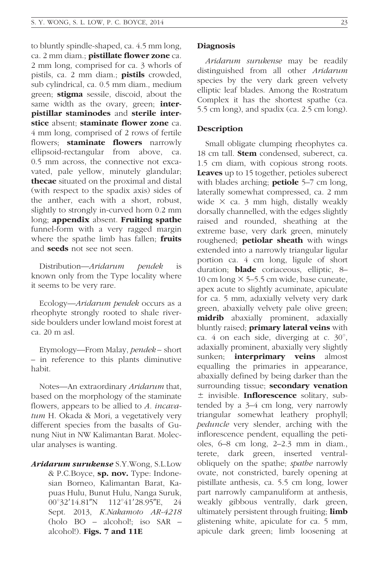to bluntly spindle-shaped, ca. 4.5 mm long, ca. 2 mm diam.; **pistillate flower zone** ca. 2 mm long, comprised for ca. 3 whorls of pistils, ca. 2 mm diam.; **pistils** crowded, sub cylindrical, ca. 0.5 mm diam., medium green; stigma sessile, discoid, about the same width as the ovary, green; interpistillar staminodes and sterile interstice absent: staminate flower zone ca. 4 mm long, comprised of 2 rows of fertile flowers; **staminate flowers** narrowly ellipsoid-rectangular from above, ca. 0.5 mm across, the connective not excavated, pale yellow, minutely glandular; thecae situated on the proximal and distal (with respect to the spadix axis) sides of the anther, each with a short, robust, slightly to strongly in-curved horn 0.2 mm long; appendix absent. Fruiting spathe funnel-form with a very ragged margin where the spathe limb has fallen; fruits and **seeds** not see not seen.

Distribution—Aridarum pendek is known only from the Type locality where it seems to be very rare.

Ecology—Aridarum pendek occurs as a rheophyte strongly rooted to shale riverside boulders under lowland moist forest at ca. 20 m asl.

Etymology—From Malay, pendek – short – in reference to this plants diminutive habit.

Notes—An extraordinary Aridarum that, based on the morphology of the staminate flowers, appears to be allied to A. incavatum H. Okada & Mori, a vegetatively very different species from the basalts of Gunung Niut in NW Kalimantan Barat. Molecular analyses is wanting.

Aridarum surukense S.Y.Wong, S.L.Low & P.C.Boyce, sp. nov. Type: Indonesian Borneo, Kalimantan Barat, Kapuas Hulu, Bunut Hulu, Nanga Suruk, 00°32'14.81"N 112°41'28.95"E, 24 Sept. 2013, K.Nakamoto AR-4218 (holo BO – alcohol!; iso SAR – alcohol!). Figs. 7 and 11E

#### Diagnosis

Aridarum surukense may be readily distinguished from all other Aridarum species by the very dark green velvety elliptic leaf blades. Among the Rostratum Complex it has the shortest spathe (ca. 5.5 cm long), and spadix (ca. 2.5 cm long).

#### Description

Small obligate clumping rheophytes ca. 18 cm tall. **Stem** condensed, suberect, ca. 1.5 cm diam, with copious strong roots. Leaves up to 15 together, petioles suberect with blades arching; **petiole**  $5-7$  cm long, laterally somewhat compressed, ca. 2 mm wide  $\times$  ca. 3 mm high, distally weakly dorsally channelled, with the edges slightly raised and rounded, sheathing at the extreme base, very dark green, minutely roughened; **petiolar sheath** with wings extended into a narrowly triangular ligular portion ca. 4 cm long, ligule of short duration; **blade** coriaceous, elliptic, 8-10 cm long  $\times$  5–5.5 cm wide, base cuneate, apex acute to slightly acuminate, apiculate for ca. 5 mm, adaxially velvety very dark green, abaxially velvety pale olive green; midrib abaxially prominent, adaxially bluntly raised; **primary lateral veins** with ca. 4 on each side, diverging at c.  $30^\circ$ , adaxially prominent, abaxially very slightly sunken; **interprimary veins** almost equalling the primaries in appearance, abaxially defined by being darker than the surrounding tissue; secondary venation  $±$  invisible. **Inflorescence** solitary, subtended by a 3–4 cm long, very narrowly triangular somewhat leathery prophyll; peduncle very slender, arching with the inflorescence pendent, equalling the petioles, 6–8 cm long, 2–2.3 mm in diam., terete, dark green, inserted ventralobliquely on the spathe; spathe narrowly ovate, not constricted, barely opening at pistillate anthesis, ca. 5.5 cm long, lower part narrowly campanuliform at anthesis, weakly gibbous ventrally, dark green, ultimately persistent through fruiting; **limb** glistening white, apiculate for ca. 5 mm, apicule dark green; limb loosening at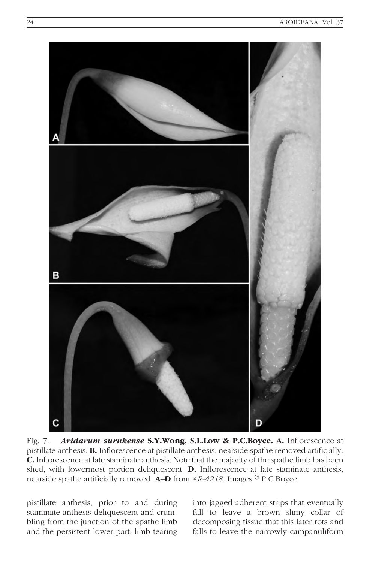

Fig. 7. Aridarum surukense S.Y.Wong, S.L.Low & P.C.Boyce. A. Inflorescence at pistillate anthesis. B. Inflorescence at pistillate anthesis, nearside spathe removed artificially. C. Inflorescence at late staminate anthesis. Note that the majority of the spathe limb has been shed, with lowermost portion deliquescent. D. Inflorescence at late staminate anthesis, nearside spathe artificially removed. **A–D** from  $AR-4218$ . Images  $\circledcirc$  P.C.Boyce.

pistillate anthesis, prior to and during staminate anthesis deliquescent and crumbling from the junction of the spathe limb and the persistent lower part, limb tearing into jagged adherent strips that eventually fall to leave a brown slimy collar of decomposing tissue that this later rots and falls to leave the narrowly campanuliform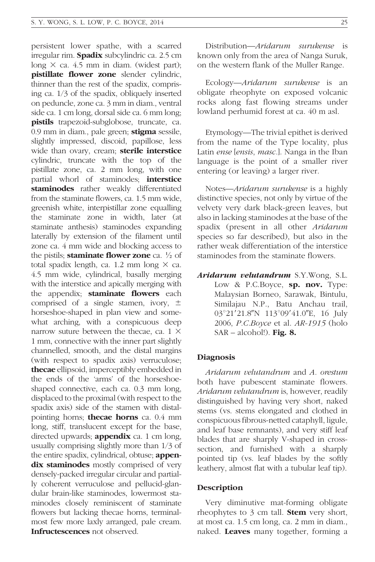persistent lower spathe, with a scarred irregular rim. **Spadix** subcylindric ca. 2.5 cm long  $\times$  ca. 4.5 mm in diam. (widest part); pistillate flower zone slender cylindric, thinner than the rest of the spadix, comprising ca. 1/3 of the spadix, obliquely inserted on peduncle, zone ca. 3 mm in diam., ventral side ca. 1 cm long, dorsal side ca. 6 mm long; pistils trapezoid-subglobose, truncate, ca. 0.9 mm in diam., pale green; stigma sessile, slightly impressed, discoid, papillose, less wide than ovary, cream; sterile interstice cylindric, truncate with the top of the pistillate zone, ca. 2 mm long, with one partial whorl of staminodes; **interstice** staminodes rather weakly differentiated from the staminate flowers, ca. 1.5 mm wide, greenish white, interpistillar zone equalling the staminate zone in width, later (at staminate anthesis) staminodes expanding laterally by extension of the filament until zone ca. 4 mm wide and blocking access to the pistils; **staminate flower zone** ca.  $\frac{1}{2}$  of total spadix length, ca. 1.2 mm long  $\times$  ca. 4.5 mm wide, cylindrical, basally merging with the interstice and apically merging with the appendix; staminate flowers each comprised of a single stamen, ivory,  $\pm$ horseshoe-shaped in plan view and somewhat arching, with a conspicuous deep narrow suture between the thecae, ca.  $1 \times$ 1 mm, connective with the inner part slightly channelled, smooth, and the distal margins (with respect to spadix axis) verruculose; thecae ellipsoid, imperceptibly embedded in the ends of the 'arms' of the horseshoeshaped connective, each ca. 0.3 mm long, displaced to the proximal (with respect to the spadix axis) side of the stamen with distalpointing horns; thecae horns ca. 0.4 mm long, stiff, translucent except for the base, directed upwards; **appendix** ca. 1 cm long, usually comprising slightly more than 1/3 of the entire spadix, cylindrical, obtuse; **appen**dix staminodes mostly comprised of very densely-packed irregular circular and partially coherent verruculose and pellucid-glandular brain-like staminodes, lowermost staminodes closely reminiscent of staminate flowers but lacking thecae horns, terminalmost few more laxly arranged, pale cream. Infructescences not observed.

Distribution—Aridarum surukense is known only from the area of Nanga Suruk, on the western flank of the Muller Range.

Ecology—Aridarum surukense is an obligate rheophyte on exposed volcanic rocks along fast flowing streams under lowland perhumid forest at ca. 40 m asl.

Etymology—The trivial epithet is derived from the name of the Type locality, plus Latin *ense* [*ensis, masc.*]. Nanga in the Iban language is the point of a smaller river entering (or leaving) a larger river.

Notes—Aridarum surukense is a highly distinctive species, not only by virtue of the velvety very dark black-green leaves, but also in lacking staminodes at the base of the spadix (present in all other Aridarum species so far described), but also in the rather weak differentiation of the interstice staminodes from the staminate flowers.

Aridarum velutandrum S.Y.Wong, S.L. Low & P.C.Boyce, sp. nov. Type: Malaysian Borneo, Sarawak, Bintulu, Similajau N.P., Batu Anchau trail, 03°21'21.8"N 113°09'41.0"E, 16 July 2006, P.C.Boyce et al. AR-1915 (holo  $SAR - alcohol!)$ . Fig. 8.

#### Diagnosis

Aridarum velutandrum and A. orestum both have pubescent staminate flowers. Aridarum velutandrum is, however, readily distinguished by having very short, naked stems (vs. stems elongated and clothed in conspicuous fibrous-netted cataphyll, ligule, and leaf base remnants), and very stiff leaf blades that are sharply V-shaped in crosssection, and furnished with a sharply pointed tip (vs. leaf blades by the softly leathery, almost flat with a tubular leaf tip).

#### Description

Very diminutive mat-forming obligate rheophytes to  $3 \text{ cm}$  tall. **Stem** very short, at most ca. 1.5 cm long, ca. 2 mm in diam., naked. Leaves many together, forming a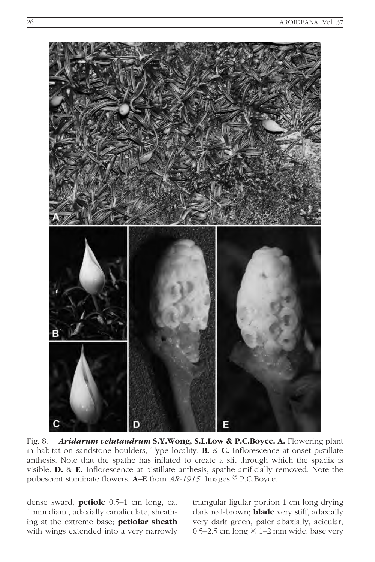

Fig. 8. Aridarum velutandrum S.Y.Wong, S.L.Low & P.C.Boyce. A. Flowering plant in habitat on sandstone boulders, Type locality. B. & C. Inflorescence at onset pistillate anthesis. Note that the spathe has inflated to create a slit through which the spadix is visible. D. & E. Inflorescence at pistillate anthesis, spathe artificially removed. Note the pubescent staminate flowers. **A–E** from  $AR-1915$ . Images  $^{\circledR}$  P.C.Boyce.

dense sward; petiole 0.5–1 cm long, ca. 1 mm diam., adaxially canaliculate, sheathing at the extreme base; petiolar sheath with wings extended into a very narrowly

triangular ligular portion 1 cm long drying dark red-brown; **blade** very stiff, adaxially very dark green, paler abaxially, acicular, 0.5–2.5 cm long  $\times$  1–2 mm wide, base very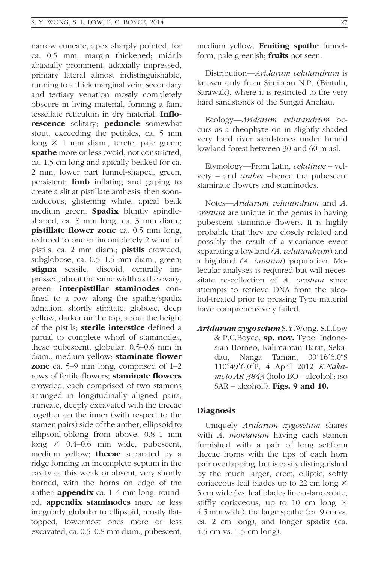narrow cuneate, apex sharply pointed, for ca. 0.5 mm, margin thickened; midrib abaxially prominent, adaxially impressed, primary lateral almost indistinguishable, running to a thick marginal vein; secondary and tertiary venation mostly completely obscure in living material, forming a faint tessellate reticulum in dry material. Inflorescence solitary; peduncle somewhat stout, exceeding the petioles, ca. 5 mm long  $\times$  1 mm diam., terete, pale green; spathe more or less ovoid, not constricted, ca. 1.5 cm long and apically beaked for ca. 2 mm; lower part funnel-shaped, green, persistent; **limb** inflating and gaping to create a slit at pistillate anthesis, then sooncaducous, glistening white, apical beak medium green. **Spadix** bluntly spindleshaped, ca. 8 mm long, ca. 3 mm diam.; pistillate flower zone ca. 0.5 mm long, reduced to one or incompletely 2 whorl of pistils, ca. 2 mm diam.; **pistils** crowded, subglobose, ca. 0.5–1.5 mm diam., green; stigma sessile, discoid, centrally impressed, about the same width as the ovary, green; interpistillar staminodes confined to a row along the spathe/spadix adnation, shortly stipitate, globose, deep yellow, darker on the top, about the height of the pistils; **sterile interstice** defined a partial to complete whorl of staminodes, these pubescent, globular, 0.5–0.6 mm in diam., medium yellow; staminate flower **zone** ca. 5–9 mm long, comprised of 1–2 rows of fertile flowers: **staminate flowers** crowded, each comprised of two stamens arranged in longitudinally aligned pairs, truncate, deeply excavated with the thecae together on the inner (with respect to the stamen pairs) side of the anther, ellipsoid to ellipsoid-oblong from above, 0.8–1 mm long  $\times$  0.4–0.6 mm wide, pubescent, medium yellow; **thecae** separated by a ridge forming an incomplete septum in the cavity or this weak or absent, very shortly horned, with the horns on edge of the anther; **appendix** ca.  $1-4$  mm long, rounded; **appendix staminodes** more or less irregularly globular to ellipsoid, mostly flattopped, lowermost ones more or less excavated, ca. 0.5–0.8 mm diam., pubescent, medium yellow. Fruiting spathe funnelform, pale greenish; **fruits** not seen.

Distribution—Aridarum velutandrum is known only from Similajau N.P. (Bintulu, Sarawak), where it is restricted to the very hard sandstones of the Sungai Anchau.

Ecology—Aridarum velutandrum occurs as a rheophyte on in slightly shaded very hard river sandstones under humid lowland forest between 30 and 60 m asl.

Etymology—From Latin, velutinae – velvety – and anther –hence the pubescent staminate flowers and staminodes.

Notes—Aridarum velutandrum and A. orestum are unique in the genus in having pubescent staminate flowers. It is highly probable that they are closely related and possibly the result of a vicariance event separating a lowland (A. velutandrum) and a highland (A. orestum) population. Molecular analyses is required but will necessitate re-collection of A. orestum since attempts to retrieve DNA from the alcohol-treated prior to pressing Type material have comprehensively failed.

Aridarum zygosetum S.Y.Wong, S.L.Low & P.C.Boyce, sp. nov. Type: Indonesian Borneo, Kalimantan Barat, Sekadau, Nanga Taman, 00°16'6.0"S 110°49'6.0"E, 4 April 2012 K.Nakamoto AR-3843 (holo BO – alcohol!; iso SAR – alcohol!). Figs. 9 and 10.

## Diagnosis

Uniquely Aridarum zygosetum shares with A. montanum having each stamen furnished with a pair of long setiform thecae horns with the tips of each horn pair overlapping, but is easily distinguished by the much larger, erect, elliptic, softly coriaceous leaf blades up to 22 cm long  $\times$ 5 cm wide (vs. leaf blades linear-lanceolate, stiffly coriaceous, up to 10 cm long  $\times$ 4.5 mm wide), the large spathe (ca. 9 cm vs. ca. 2 cm long), and longer spadix (ca. 4.5 cm vs. 1.5 cm long).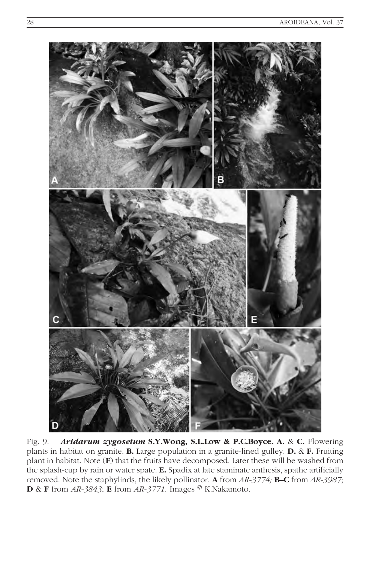

Fig. 9. Aridarum zygosetum S.Y.Wong, S.L.Low & P.C.Boyce. A. & C. Flowering plants in habitat on granite. B. Large population in a granite-lined gulley. D. & F. Fruiting plant in habitat. Note (F) that the fruits have decomposed. Later these will be washed from the splash-cup by rain or water spate. E. Spadix at late staminate anthesis, spathe artificially removed. Note the staphylinds, the likely pollinator. A from AR-3774; B–C from AR-3987; **D** & **F** from  $AR-3843$ ; **E** from  $AR-3771$ . Images  $\circ$  K.Nakamoto.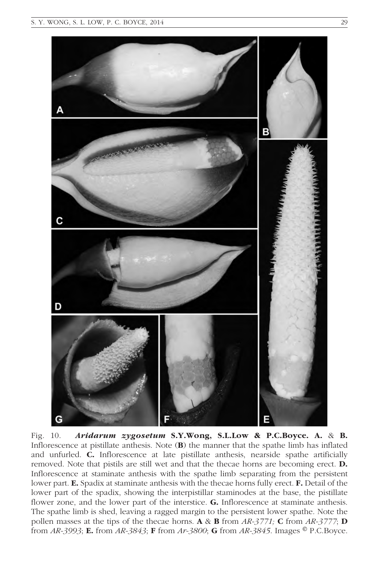

Fig. 10. Aridarum zygosetum S.Y.Wong, S.L.Low & P.C.Boyce. A. & B. Inflorescence at pistillate anthesis. Note  $(B)$  the manner that the spathe limb has inflated and unfurled. C. Inflorescence at late pistillate anthesis, nearside spathe artificially removed. Note that pistils are still wet and that the thecae horns are becoming erect. **D.** Inflorescence at staminate anthesis with the spathe limb separating from the persistent lower part. **E.** Spadix at staminate anthesis with the thecae horns fully erect. **F.** Detail of the lower part of the spadix, showing the interpistillar staminodes at the base, the pistillate flower zone, and the lower part of the interstice. G. Inflorescence at staminate anthesis. The spathe limb is shed, leaving a ragged margin to the persistent lower spathe. Note the pollen masses at the tips of the thecae horns. A & B from  $AR-3771$ ; C from  $AR-3777$ ; D from  $AR-3993$ ; E. from  $AR-3843$ ; F from  $Ar-3800$ ; G from  $AR-3845$ . Images  $\circ$  P.C.Boyce.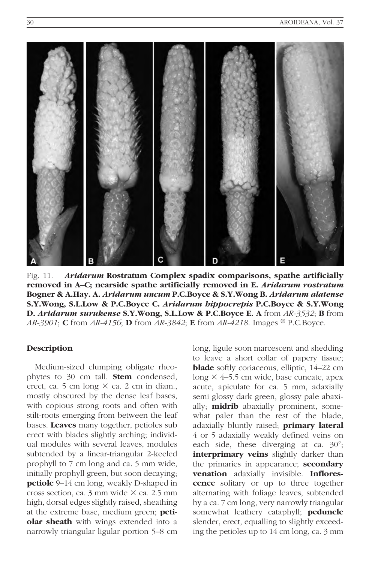

Fig. 11. Aridarum Rostratum Complex spadix comparisons, spathe artificially removed in A–C; nearside spathe artificially removed in E. Aridarum rostratum Bogner & A.Hay. A. Aridarum uncum P.C.Boyce & S.Y.Wong B. Aridarum alatense S.Y.Wong, S.L.Low & P.C.Boyce C. Aridarum hippocrepis P.C.Boyce & S.Y.Wong D. Aridarum surukense S.Y.Wong, S.L.Low & P.C.Boyce E. A from AR-3532; B from AR-3901; C from AR-4156; D from AR-3842; E from AR-4218. Images  $\degree$  P.C. Boyce.

#### Description

Medium-sized clumping obligate rheophytes to 30 cm tall. **Stem** condensed, erect, ca. 5 cm long  $\times$  ca. 2 cm in diam., mostly obscured by the dense leaf bases, with copious strong roots and often with stilt-roots emerging from between the leaf bases. Leaves many together, petioles sub erect with blades slightly arching; individual modules with several leaves, modules subtended by a linear-triangular 2-keeled prophyll to 7 cm long and ca. 5 mm wide, initially prophyll green, but soon decaying; petiole 9–14 cm long, weakly D-shaped in cross section, ca.  $3 \text{ mm}$  wide  $\times$  ca. 2.5 mm high, dorsal edges slightly raised, sheathing at the extreme base, medium green; petiolar sheath with wings extended into a narrowly triangular ligular portion 5–8 cm

long, ligule soon marcescent and shedding to leave a short collar of papery tissue; **blade** softly coriaceous, elliptic, 14–22 cm long  $\times$  4–5.5 cm wide, base cuneate, apex acute, apiculate for ca. 5 mm, adaxially semi glossy dark green, glossy pale abaxially; **midrib** abaxially prominent, somewhat paler than the rest of the blade, adaxially bluntly raised; primary lateral 4 or 5 adaxially weakly defined veins on each side, these diverging at ca.  $30^\circ$ ; interprimary veins slightly darker than the primaries in appearance; secondary venation adaxially invisible. Inflorescence solitary or up to three together alternating with foliage leaves, subtended by a ca. 7 cm long, very narrowly triangular somewhat leathery cataphyll; **peduncle** slender, erect, equalling to slightly exceeding the petioles up to 14 cm long, ca. 3 mm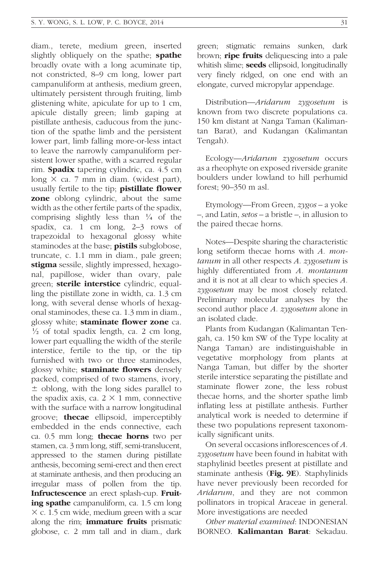diam., terete, medium green, inserted slightly obliquely on the spathe; spathe broadly ovate with a long acuminate tip, not constricted, 8–9 cm long, lower part campanuliform at anthesis, medium green, ultimately persistent through fruiting, limb glistening white, apiculate for up to 1 cm, apicule distally green; limb gaping at pistillate anthesis, caducous from the junction of the spathe limb and the persistent lower part, limb falling more-or-less intact to leave the narrowly campanuliform persistent lower spathe, with a scarred regular rim. **Spadix** tapering cylindric, ca. 4.5 cm long  $\times$  ca. 7 mm in diam. (widest part), usually fertile to the tip; **pistillate flower zone** oblong cylindric, about the same width as the other fertile parts of the spadix, comprising slightly less than  $\frac{1}{4}$  of the spadix, ca. 1 cm long, 2–3 rows of trapezoidal to hexagonal glossy white staminodes at the base; **pistils** subglobose, truncate, c. 1.1 mm in diam., pale green; stigma sessile, slightly impressed, hexagonal, papillose, wider than ovary, pale green; sterile interstice cylindric, equalling the pistillate zone in width, ca. 1.3 cm long, with several dense whorls of hexagonal staminodes, these ca. 1.3 mm in diam., glossy white; staminate flower zone ca.  $\frac{1}{2}$  of total spadix length, ca. 2 cm long, lower part equalling the width of the sterile interstice, fertile to the tip, or the tip furnished with two or three staminodes, glossy white; **staminate flowers** densely packed, comprised of two stamens, ivory,  $\pm$  oblong, with the long sides parallel to the spadix axis, ca.  $2 \times 1$  mm, connective with the surface with a narrow longitudinal groove; **thecae** ellipsoid, imperceptibly embedded in the ends connective, each ca.  $0.5$  mm long; **thecae horns** two per stamen, ca. 3 mm long, stiff, semi-translucent, appressed to the stamen during pistillate anthesis, becoming semi-erect and then erect at staminate anthesis, and then producing an irregular mass of pollen from the tip. Infructescence an erect splash-cup. Fruiting spathe campanuliform, ca. 1.5 cm long  $\times$  c. 1.5 cm wide, medium green with a scar along the rim; **immature fruits** prismatic globose, c. 2 mm tall and in diam., dark green; stigmatic remains sunken, dark brown; **ripe fruits** deliquescing into a pale whitish slime; **seeds** ellipsoid, longitudinally very finely ridged, on one end with an elongate, curved micropylar appendage.

Distribution—Aridarum zygosetum is known from two discrete populations ca. 150 km distant at Nanga Taman (Kalimantan Barat), and Kudangan (Kalimantan Tengah).

Ecology—Aridarum zygosetum occurs as a rheophyte on exposed riverside granite boulders under lowland to hill perhumid forest; 90–350 m asl.

Etymology—From Green, zygos – a yoke –, and Latin, setos – a bristle –, in allusion to the paired thecae horns.

Notes—Despite sharing the characteristic long setiform thecae horns with A. mon $tanum$  in all other respects  $A. zygosetum$  is highly differentiated from A. montanum and it is not at all clear to which species A. zygosetum may be most closely related. Preliminary molecular analyses by the second author place A. zygosetum alone in an isolated clade.

Plants from Kudangan (Kalimantan Tengah, ca. 150 km SW of the Type locality at Nanga Taman) are indistinguishable in vegetative morphology from plants at Nanga Taman, but differ by the shorter sterile interstice separating the pistillate and staminate flower zone, the less robust thecae horns, and the shorter spathe limb inflating less at pistillate anthesis. Further analytical work is needed to determine if these two populations represent taxonomically significant units.

On several occasions inflorescences of A. zygosetum have been found in habitat with staphylinid beetles present at pistillate and staminate anthesis (Fig. 9E). Staphylinids have never previously been recorded for Aridarum, and they are not common pollinators in tropical Araceae in general. More investigations are needed

Other material examined: INDONESIAN BORNEO. Kalimantan Barat: Sekadau.